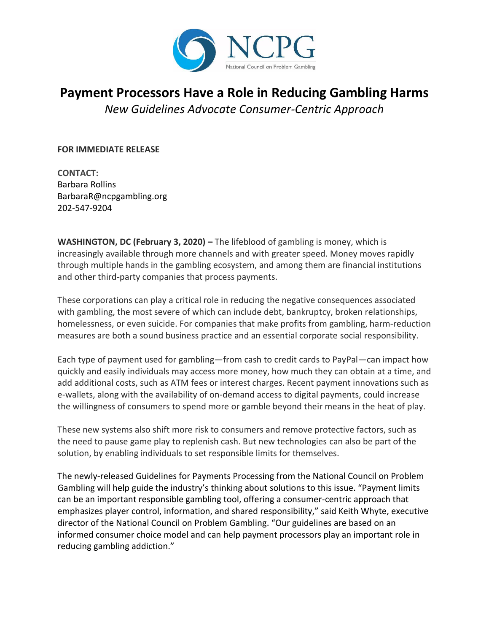

## **Payment Processors Have a Role in Reducing Gambling Harms**

*New Guidelines Advocate Consumer-Centric Approach* 

**FOR IMMEDIATE RELEASE**

**CONTACT:** Barbara Rollins BarbaraR@ncpgambling.org 202-547-9204

**WASHINGTON, DC (February 3, 2020) – The lifeblood of gambling is money, which is** increasingly available through more channels and with greater speed. Money moves rapidly through multiple hands in the gambling ecosystem, and among them are financial institutions and other third-party companies that process payments.

These corporations can play a critical role in reducing the negative consequences associated with gambling, the most severe of which can include debt, bankruptcy, broken relationships, homelessness, or even suicide. For companies that make profits from gambling, harm-reduction measures are both a sound business practice and an essential corporate social responsibility.

Each type of payment used for gambling—from cash to credit cards to PayPal—can impact how quickly and easily individuals may access more money, how much they can obtain at a time, and add additional costs, such as ATM fees or interest charges. Recent payment innovations such as e-wallets, along with the availability of on-demand access to digital payments, could increase the willingness of consumers to spend more or gamble beyond their means in the heat of play.

These new systems also shift more risk to consumers and remove protective factors, such as the need to pause game play to replenish cash. But new technologies can also be part of the solution, by enabling individuals to set responsible limits for themselves.

The newly-released Guidelines for Payments Processing from the National Council on Problem Gambling will help guide the industry's thinking about solutions to this issue. "Payment limits can be an important responsible gambling tool, offering a consumer-centric approach that emphasizes player control, information, and shared responsibility," said Keith Whyte, executive director of the National Council on Problem Gambling. "Our guidelines are based on an informed consumer choice model and can help payment processors play an important role in reducing gambling addiction."